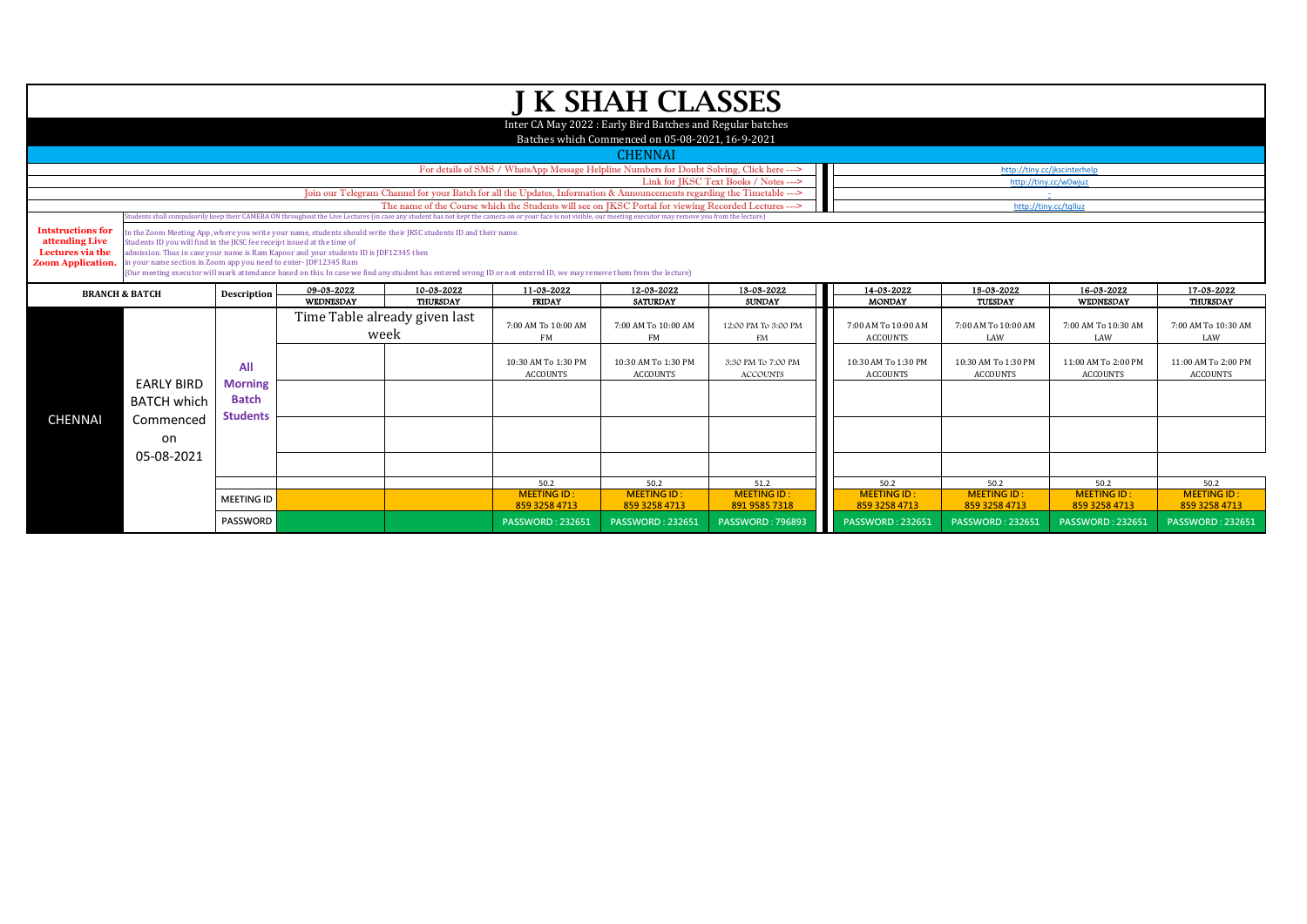|                                                                                           |                           |                                                                                                                                                                                                                                                                                                                                                                                                                                                                                                                                                                                                                                                                                                                                                                                                                                                                                    |            |                               |                                                                                                                        | <b>J K SHAH CLASSES</b>                                                                                        |                                       |                                        |                                        |                                        |                                        |
|-------------------------------------------------------------------------------------------|---------------------------|------------------------------------------------------------------------------------------------------------------------------------------------------------------------------------------------------------------------------------------------------------------------------------------------------------------------------------------------------------------------------------------------------------------------------------------------------------------------------------------------------------------------------------------------------------------------------------------------------------------------------------------------------------------------------------------------------------------------------------------------------------------------------------------------------------------------------------------------------------------------------------|------------|-------------------------------|------------------------------------------------------------------------------------------------------------------------|----------------------------------------------------------------------------------------------------------------|---------------------------------------|----------------------------------------|----------------------------------------|----------------------------------------|----------------------------------------|
|                                                                                           |                           |                                                                                                                                                                                                                                                                                                                                                                                                                                                                                                                                                                                                                                                                                                                                                                                                                                                                                    |            |                               |                                                                                                                        | Inter CA May 2022 : Early Bird Batches and Regular batches<br>Batches which Commenced on 05-08-2021, 16-9-2021 |                                       |                                        |                                        |                                        |                                        |
|                                                                                           |                           |                                                                                                                                                                                                                                                                                                                                                                                                                                                                                                                                                                                                                                                                                                                                                                                                                                                                                    |            |                               |                                                                                                                        | <b>CHENNAI</b>                                                                                                 |                                       |                                        |                                        |                                        |                                        |
|                                                                                           |                           |                                                                                                                                                                                                                                                                                                                                                                                                                                                                                                                                                                                                                                                                                                                                                                                                                                                                                    |            |                               | For details of SMS / WhatsApp Message Helpline Numbers for Doubt Solving, Click here --->                              |                                                                                                                |                                       |                                        |                                        | http://tiny.cc/jkscinterhelp           |                                        |
|                                                                                           |                           |                                                                                                                                                                                                                                                                                                                                                                                                                                                                                                                                                                                                                                                                                                                                                                                                                                                                                    |            |                               |                                                                                                                        |                                                                                                                | Link for JKSC Text Books / Notes ---> |                                        |                                        | http://tiny.cc/w0wjuz                  |                                        |
|                                                                                           |                           |                                                                                                                                                                                                                                                                                                                                                                                                                                                                                                                                                                                                                                                                                                                                                                                                                                                                                    |            |                               | Join our Telegram Channel for your Batch for all the Updates, Information & Announcements regarding the Timetable ---> |                                                                                                                |                                       |                                        |                                        |                                        |                                        |
|                                                                                           |                           |                                                                                                                                                                                                                                                                                                                                                                                                                                                                                                                                                                                                                                                                                                                                                                                                                                                                                    |            |                               |                                                                                                                        |                                                                                                                |                                       |                                        |                                        |                                        |                                        |
| <b>Intstructions for</b><br>attending Live<br>Lectures via the<br><b>Zoom Application</b> |                           | The name of the Course which the Students will see on IKSC Portal for viewing Recorded Lectures ---><br>http://tiny.cc/tqlluz<br>(tudents shall compulsorily keep their CAMERA ON throughout the Live Lectures (in case any student has not kept the camera on or your face is not visible, our meeting executor may remove you from the lecture)<br>In the Zoom Meeting App, where you write your name, students should write their JKSC students ID and their name.<br>Students ID you will find in the JKSC fee receipt issued at the time of<br>admission. Thus in case your name is Ram Kapoor and your students ID is JDF12345 then<br>in your name section in Zoom app you need to enter-JDF12345 Ram<br>(Our meeting executor will mark attendance based on this. In case we find any student has entered wrong ID or not entered ID, we may remove them from the lecture) |            |                               |                                                                                                                        |                                                                                                                |                                       |                                        |                                        |                                        |                                        |
|                                                                                           | <b>BRANCH &amp; BATCH</b> | Description                                                                                                                                                                                                                                                                                                                                                                                                                                                                                                                                                                                                                                                                                                                                                                                                                                                                        | 09-03-2022 | 10-03-2022                    | 11-03-2022                                                                                                             | 12-03-2022                                                                                                     | 13-03-2022                            | 14-03-2022                             | 15-03-2022                             | 16-03-2022                             | 17-03-2022                             |
|                                                                                           |                           |                                                                                                                                                                                                                                                                                                                                                                                                                                                                                                                                                                                                                                                                                                                                                                                                                                                                                    | WEDNESDAY  | THURSDAY                      | <b>FRIDAY</b>                                                                                                          | <b>SATURDAY</b>                                                                                                | <b>SUNDAY</b>                         | <b>MONDAY</b>                          | TUESDAY                                | WEDNESDAY                              | THURSDAY                               |
|                                                                                           |                           |                                                                                                                                                                                                                                                                                                                                                                                                                                                                                                                                                                                                                                                                                                                                                                                                                                                                                    | week       | Time Table already given last | 7:00 AM To 10:00 AM<br>FM                                                                                              | 7:00 AM To 10:00 AM<br>FM                                                                                      | 12:00 PM To 3:00 PM<br>FM             | 7:00 AM To 10:00 AM<br><b>ACCOUNTS</b> | 7:00 AM To 10:00 AM<br>LAW             | 7:00 AM To 10:30 AM<br>LAW             | 7:00 AM To 10:30 AM<br>LAW             |
|                                                                                           | <b>EARLY BIRD</b>         | All                                                                                                                                                                                                                                                                                                                                                                                                                                                                                                                                                                                                                                                                                                                                                                                                                                                                                |            |                               | 10:30 AM To 1:30 PM<br><b>ACCOUNTS</b>                                                                                 | 10:30 AM To 1:30 PM<br><b>ACCOUNTS</b>                                                                         | 3:30 PM To 7:00 PM<br><b>ACCOUNTS</b> | 10:30 AM To 1:30 PM<br><b>ACCOUNTS</b> | 10:30 AM To 1:30 PM<br><b>ACCOUNTS</b> | 11:00 AM To 2:00 PM<br><b>ACCOUNTS</b> | 11:00 AM To 2:00 PM<br><b>ACCOUNTS</b> |
|                                                                                           | <b>BATCH which</b>        | <b>Morning</b><br><b>Batch</b><br><b>Students</b>                                                                                                                                                                                                                                                                                                                                                                                                                                                                                                                                                                                                                                                                                                                                                                                                                                  |            |                               |                                                                                                                        |                                                                                                                |                                       |                                        |                                        |                                        |                                        |
| <b>CHENNAI</b>                                                                            | Commenced<br>on           |                                                                                                                                                                                                                                                                                                                                                                                                                                                                                                                                                                                                                                                                                                                                                                                                                                                                                    |            |                               |                                                                                                                        |                                                                                                                |                                       |                                        |                                        |                                        |                                        |
|                                                                                           | 05-08-2021                |                                                                                                                                                                                                                                                                                                                                                                                                                                                                                                                                                                                                                                                                                                                                                                                                                                                                                    |            |                               |                                                                                                                        |                                                                                                                |                                       |                                        |                                        |                                        |                                        |
|                                                                                           |                           |                                                                                                                                                                                                                                                                                                                                                                                                                                                                                                                                                                                                                                                                                                                                                                                                                                                                                    |            |                               | 50.2<br><b>MEETING ID:</b>                                                                                             | 50.2<br><b>MEETING ID:</b>                                                                                     | 51.2<br><b>MEETING ID:</b>            | 50.2<br><b>MEETING ID:</b>             | 50.2<br><b>MEETING ID:</b>             | 50.2<br><b>MEETING ID:</b>             | 50.2<br><b>MEETING ID</b>              |
|                                                                                           |                           | <b>MEETING ID</b>                                                                                                                                                                                                                                                                                                                                                                                                                                                                                                                                                                                                                                                                                                                                                                                                                                                                  |            |                               | 859 3258 4713                                                                                                          | 859 3258 4713                                                                                                  | 891 9585 7318                         | 859 3258 4713                          | 859 3258 4713                          | 859 3258 4713                          | 859 3258 4713                          |
|                                                                                           |                           | <b>PASSWORD</b>                                                                                                                                                                                                                                                                                                                                                                                                                                                                                                                                                                                                                                                                                                                                                                                                                                                                    |            |                               | <b>PASSWORD: 232651</b>                                                                                                | <b>PASSWORD: 232651</b>                                                                                        | <b>PASSWORD: 796893</b>               | <b>PASSWORD: 232651</b>                | <b>PASSWORD: 232651</b>                | <b>PASSWORD: 232651</b>                | <b>PASSWORD: 232651</b>                |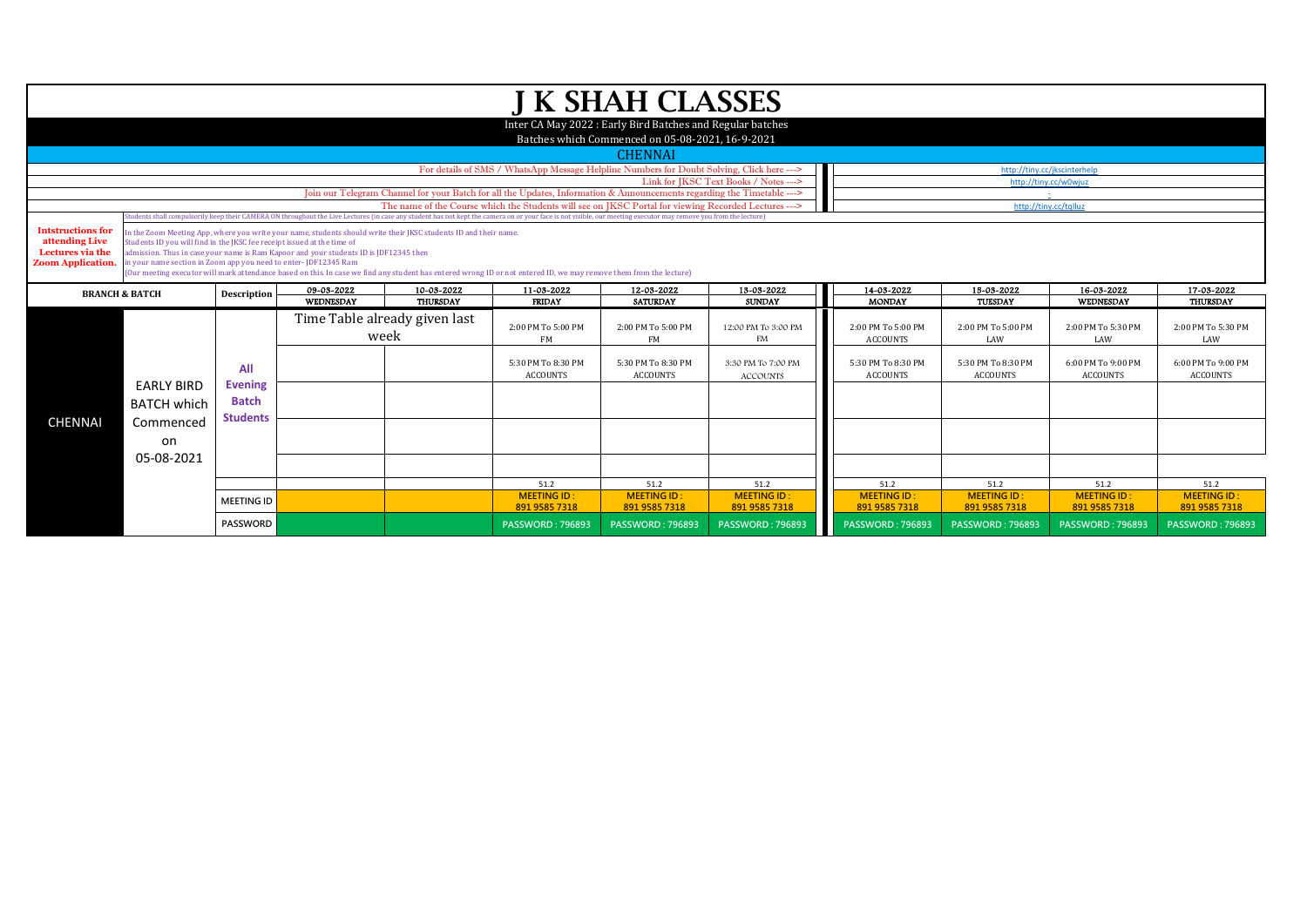|                                                                                            |                                                                                                                                            |                                                          |                                                                                                                                                                                                           |                                           |                                                                                                                                                                                                                                | <b>J K SHAH CLASSES</b>                                                                                        |                                                                                            |                                                                                                 |                                                                               |                                                                                 |                                                                                |
|--------------------------------------------------------------------------------------------|--------------------------------------------------------------------------------------------------------------------------------------------|----------------------------------------------------------|-----------------------------------------------------------------------------------------------------------------------------------------------------------------------------------------------------------|-------------------------------------------|--------------------------------------------------------------------------------------------------------------------------------------------------------------------------------------------------------------------------------|----------------------------------------------------------------------------------------------------------------|--------------------------------------------------------------------------------------------|-------------------------------------------------------------------------------------------------|-------------------------------------------------------------------------------|---------------------------------------------------------------------------------|--------------------------------------------------------------------------------|
|                                                                                            |                                                                                                                                            |                                                          |                                                                                                                                                                                                           |                                           |                                                                                                                                                                                                                                | Inter CA May 2022 : Early Bird Batches and Regular batches<br>Batches which Commenced on 05-08-2021, 16-9-2021 |                                                                                            |                                                                                                 |                                                                               |                                                                                 |                                                                                |
|                                                                                            |                                                                                                                                            |                                                          |                                                                                                                                                                                                           |                                           |                                                                                                                                                                                                                                | <b>CHENNAI</b>                                                                                                 |                                                                                            |                                                                                                 |                                                                               |                                                                                 |                                                                                |
|                                                                                            |                                                                                                                                            |                                                          |                                                                                                                                                                                                           |                                           | For details of SMS / WhatsApp Message Helpline Numbers for Doubt Solving, Click here --->                                                                                                                                      |                                                                                                                |                                                                                            |                                                                                                 |                                                                               | http://tiny.cc/jkscinterhelp                                                    |                                                                                |
|                                                                                            |                                                                                                                                            |                                                          |                                                                                                                                                                                                           |                                           |                                                                                                                                                                                                                                |                                                                                                                | Link for JKSC Text Books / Notes --->                                                      |                                                                                                 |                                                                               | http://tinv.cc/w0wiuz                                                           |                                                                                |
|                                                                                            |                                                                                                                                            |                                                          |                                                                                                                                                                                                           |                                           | Join our Telegram Channel for your Batch for all the Updates, Information & Announcements regarding the Timetable ---><br>The name of the Course which the Students will see on IKSC Portal for viewing Recorded Lectures ---> |                                                                                                                |                                                                                            |                                                                                                 |                                                                               | http://tiny.cc/talluz                                                           |                                                                                |
|                                                                                            |                                                                                                                                            |                                                          |                                                                                                                                                                                                           |                                           | Students shall compulsorily keep their CAMERA ON throughout the Live Lectures (in case any student has not kept the camera on or your face is not visible, our meeting executor may remove you from the lecture)               |                                                                                                                |                                                                                            |                                                                                                 |                                                                               |                                                                                 |                                                                                |
| <b>Intstructions for</b><br>attending Live<br>Lectures via the<br><b>Zoom Application.</b> | Students ID you will find in the JKSC fee receipt issued at the time of<br>in your name section in Zoom app you need to enter-JDF12345 Ram |                                                          | In the Zoom Meeting App, where you write your name, students should write their JKSC students ID and their name.<br>admission. Thus in case your name is Ram Kapoor and your students ID is JDF12345 then |                                           | (Our meeting executor will mark attendance based on this. In case we find any student has entered wrong ID or not entered ID, we may remove them from the lecture)                                                             |                                                                                                                |                                                                                            |                                                                                                 |                                                                               |                                                                                 |                                                                                |
|                                                                                            | <b>BRANCH &amp; BATCH</b>                                                                                                                  | Description                                              | 09-03-2022                                                                                                                                                                                                | 10-03-2022                                | 11-03-2022                                                                                                                                                                                                                     | 12-03-2022                                                                                                     | 13-03-2022                                                                                 | 14-03-2022                                                                                      | 15-03-2022                                                                    | 16-03-2022                                                                      | 17-03-2022                                                                     |
| <b>CHENNAI</b>                                                                             | <b>EARLY BIRD</b><br><b>BATCH which</b><br>Commenced<br>on<br>05-08-2021                                                                   | All<br><b>Evening</b><br><b>Batch</b><br><b>Students</b> | WEDNESDAY<br>week                                                                                                                                                                                         | THURSDAY<br>Time Table already given last | <b>FRIDAY</b><br>2:00 PM To 5:00 PM<br>FM<br>5:30 PM To 8:30 PM<br><b>ACCOUNTS</b>                                                                                                                                             | <b>SATURDAY</b><br>2:00 PM To 5:00 PM<br><b>FM</b><br>5:30 PM To 8:30 PM<br><b>ACCOUNTS</b>                    | <b>SUNDAY</b><br>12:00 PM To 3:00 PM<br><b>FM</b><br>3:30 PM To 7:00 PM<br><b>ACCOUNTS</b> | <b>MONDAY</b><br>2:00 PM To 5:00 PM<br><b>ACCOUNTS</b><br>5:30 PM To 8:30 PM<br><b>ACCOUNTS</b> | TUESDAY<br>2:00 PM To 5:00 PM<br>LAW<br>5:30 PM To 8:30 PM<br><b>ACCOUNTS</b> | WEDNESDAY<br>2:00 PM To 5:30 PM<br>LAW<br>6:00 PM To 9:00 PM<br><b>ACCOUNTS</b> | THURSDAY<br>2:00 PM To 5:30 PM<br>LAW<br>6:00 PM To 9:00 PM<br><b>ACCOUNTS</b> |
|                                                                                            |                                                                                                                                            |                                                          |                                                                                                                                                                                                           |                                           | 51.2                                                                                                                                                                                                                           | 51.2                                                                                                           | 51.2                                                                                       | 51.2                                                                                            | 51.2                                                                          | 51.2                                                                            | 51.2                                                                           |
|                                                                                            |                                                                                                                                            | <b>MEETING ID</b>                                        |                                                                                                                                                                                                           |                                           | <b>MEETING ID:</b><br>891 9585 7318                                                                                                                                                                                            | <b>MEETING ID:</b><br>891 9585 7318                                                                            | <b>MEETING ID:</b><br>891 9585 7318                                                        | <b>MEETING ID:</b><br>891 9585 7318                                                             | <b>MEETING ID:</b><br>891 9585 7318                                           | <b>MEETING ID:</b><br>891 9585 7318                                             | <b>MEETING ID</b><br>891 9585 7318                                             |
|                                                                                            |                                                                                                                                            | <b>PASSWORD</b>                                          |                                                                                                                                                                                                           |                                           | <b>PASSWORD: 796893</b>                                                                                                                                                                                                        | <b>PASSWORD: 796893</b>                                                                                        | <b>PASSWORD: 796893</b>                                                                    | <b>PASSWORD: 796893</b>                                                                         | <b>PASSWORD: 796893</b>                                                       | <b>PASSWORD: 796893</b>                                                         | <b>PASSWORD: 796893</b>                                                        |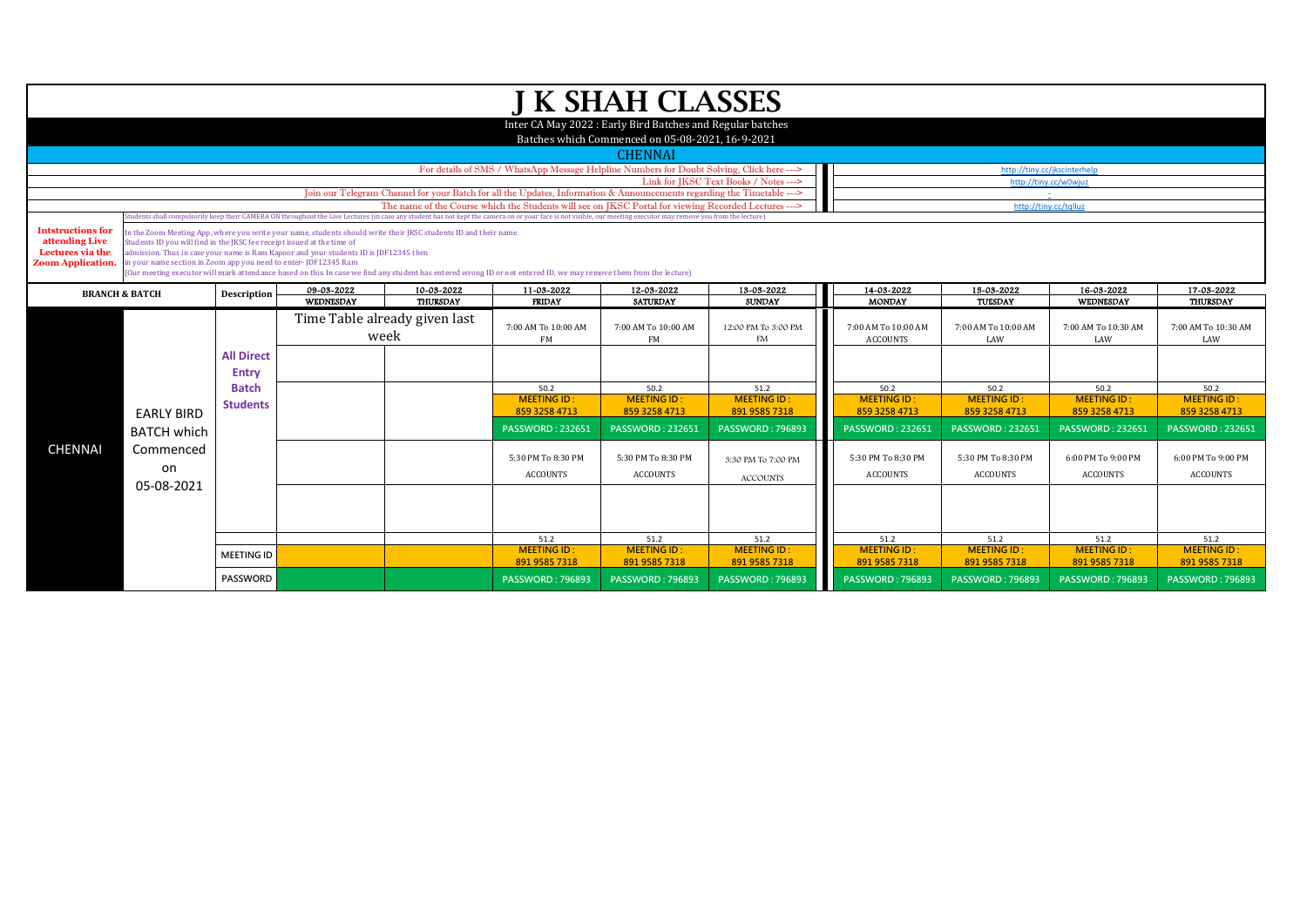|                                                                                            |                                                                                                                                            |                                                                                                                                                                                                                                                                                                                         |                                                                                       |                                                                                                                  |                                                                                                                                                                    | <b>J K SHAH CLASSES</b>                                                                                        |                                       |                                        |                                       |                                       |                                       |  |  |
|--------------------------------------------------------------------------------------------|--------------------------------------------------------------------------------------------------------------------------------------------|-------------------------------------------------------------------------------------------------------------------------------------------------------------------------------------------------------------------------------------------------------------------------------------------------------------------------|---------------------------------------------------------------------------------------|------------------------------------------------------------------------------------------------------------------|--------------------------------------------------------------------------------------------------------------------------------------------------------------------|----------------------------------------------------------------------------------------------------------------|---------------------------------------|----------------------------------------|---------------------------------------|---------------------------------------|---------------------------------------|--|--|
|                                                                                            |                                                                                                                                            |                                                                                                                                                                                                                                                                                                                         |                                                                                       |                                                                                                                  |                                                                                                                                                                    | Inter CA May 2022 : Early Bird Batches and Regular batches<br>Batches which Commenced on 05-08-2021, 16-9-2021 |                                       |                                        |                                       |                                       |                                       |  |  |
|                                                                                            |                                                                                                                                            |                                                                                                                                                                                                                                                                                                                         |                                                                                       |                                                                                                                  |                                                                                                                                                                    | <b>CHENNAI</b>                                                                                                 |                                       |                                        |                                       |                                       |                                       |  |  |
|                                                                                            |                                                                                                                                            |                                                                                                                                                                                                                                                                                                                         |                                                                                       |                                                                                                                  | For details of SMS / WhatsApp Message Helpline Numbers for Doubt Solving, Click here --->                                                                          |                                                                                                                |                                       |                                        | http://tiny.cc/jkscinterhelp          |                                       |                                       |  |  |
|                                                                                            |                                                                                                                                            |                                                                                                                                                                                                                                                                                                                         |                                                                                       |                                                                                                                  | Join our Telegram Channel for your Batch for all the Updates, Information & Announcements regarding the Timetable --->                                             |                                                                                                                | Link for IKSC Text Books / Notes ---> |                                        |                                       | http://tinv.cc/w0wiuz                 |                                       |  |  |
|                                                                                            |                                                                                                                                            |                                                                                                                                                                                                                                                                                                                         |                                                                                       |                                                                                                                  |                                                                                                                                                                    |                                                                                                                |                                       |                                        | http://tiny.cc/tqlluz                 |                                       |                                       |  |  |
|                                                                                            |                                                                                                                                            | The name of the Course which the Students will see on IKSC Portal for viewing Recorded Lectures ---><br>tudents shall compulsorily keep their CAMERA ON throughout the Live Lectures (in case any student has not kept the camera on or your face is not visible, our meeting executor may remove you from the lecture) |                                                                                       |                                                                                                                  |                                                                                                                                                                    |                                                                                                                |                                       |                                        |                                       |                                       |                                       |  |  |
| <b>Intstructions for</b><br>attending Live<br>Lectures via the<br><b>Zoom Application.</b> | Students ID you will find in the JKSC fee receipt issued at the time of<br>in your name section in Zoom app you need to enter-JDF12345 Ram |                                                                                                                                                                                                                                                                                                                         | admission. Thus in case your name is Ram Kapoor and your students ID is JDF12345 then | In the Zoom Meeting App, where you write your name, students should write their JKSC students ID and their name. | (Our meeting executor will mark attendance based on this. In case we find any student has entered wrong ID or not entered ID, we may remove them from the lecture) |                                                                                                                |                                       |                                        |                                       |                                       |                                       |  |  |
|                                                                                            | <b>BRANCH &amp; BATCH</b>                                                                                                                  | <b>Description</b>                                                                                                                                                                                                                                                                                                      | 09-03-2022                                                                            | 10-03-2022                                                                                                       | 11-03-2022                                                                                                                                                         | 12-03-2022                                                                                                     | 13-03-2022                            | 14-03-2022                             | 15-03-2022                            | 16-03-2022                            | 17-03-2022                            |  |  |
|                                                                                            |                                                                                                                                            |                                                                                                                                                                                                                                                                                                                         | WEDNESDAY                                                                             | THURSDAY                                                                                                         | <b>FRIDAY</b>                                                                                                                                                      | <b>SATURDAY</b>                                                                                                | <b>SUNDAY</b>                         | <b>MONDAY</b>                          | TUESDAY                               | WEDNESDAY                             | THURSDAY                              |  |  |
|                                                                                            |                                                                                                                                            |                                                                                                                                                                                                                                                                                                                         |                                                                                       | Time Table already given last<br>week                                                                            | 7:00 AM To 10:00 AM<br>FM                                                                                                                                          | 7:00 AM To 10:00 AM<br><b>FM</b>                                                                               | 12:00 PM To 3:00 PM<br>FM             | 7:00 AM To 10:00 AM<br><b>ACCOUNTS</b> | 7:00 AM To 10:00 AM<br>LAW            | 7:00 AM To 10:30 AM<br>LAW            | 7:00 AM To 10:30 AM<br>LAW            |  |  |
|                                                                                            |                                                                                                                                            | <b>All Direct</b><br>Entry                                                                                                                                                                                                                                                                                              |                                                                                       |                                                                                                                  |                                                                                                                                                                    |                                                                                                                |                                       |                                        |                                       |                                       |                                       |  |  |
|                                                                                            |                                                                                                                                            | <b>Batch</b>                                                                                                                                                                                                                                                                                                            |                                                                                       |                                                                                                                  | 50.2                                                                                                                                                               | 50.2                                                                                                           | 51.2                                  | 50.2                                   | 50.2                                  | 50.2                                  | 50.2                                  |  |  |
|                                                                                            | <b>EARLY BIRD</b>                                                                                                                          | <b>Students</b>                                                                                                                                                                                                                                                                                                         |                                                                                       |                                                                                                                  | <b>MEETING ID:</b><br>859 3258 4713                                                                                                                                | <b>MEETING ID:</b><br>859 3258 4713                                                                            | <b>MEETING ID:</b><br>891 9585 7318   | <b>MEETING ID:</b><br>859 3258 4713    | <b>MEETING ID:</b><br>859 3258 4713   | <b>MEETING ID:</b><br>859 3258 4713   | <b>MEETING ID:</b><br>859 3258 4713   |  |  |
|                                                                                            | <b>BATCH which</b>                                                                                                                         |                                                                                                                                                                                                                                                                                                                         |                                                                                       |                                                                                                                  | <b>PASSWORD: 232651</b>                                                                                                                                            | <b>PASSWORD: 232651</b>                                                                                        | <b>PASSWORD: 796893</b>               | <b>PASSWORD: 232651</b>                | <b>PASSWORD: 232651</b>               | <b>PASSWORD: 232651</b>               | <b>PASSWORD: 232651</b>               |  |  |
| <b>CHENNAI</b>                                                                             | Commenced<br>on<br>05-08-2021                                                                                                              |                                                                                                                                                                                                                                                                                                                         |                                                                                       |                                                                                                                  | 5:30 PM To 8:30 PM<br><b>ACCOUNTS</b>                                                                                                                              | 5:30 PM To 8:30 PM<br><b>ACCOUNTS</b>                                                                          | 3:30 PM To 7:00 PM<br><b>ACCOUNTS</b> | 5:30 PM To 8:30 PM<br><b>ACCOUNTS</b>  | 5:30 PM To 8:30 PM<br><b>ACCOUNTS</b> | 6:00 PM To 9:00 PM<br><b>ACCOUNTS</b> | 6:00 PM To 9:00 PM<br><b>ACCOUNTS</b> |  |  |
|                                                                                            |                                                                                                                                            |                                                                                                                                                                                                                                                                                                                         |                                                                                       |                                                                                                                  |                                                                                                                                                                    |                                                                                                                |                                       |                                        |                                       |                                       |                                       |  |  |
|                                                                                            |                                                                                                                                            |                                                                                                                                                                                                                                                                                                                         |                                                                                       |                                                                                                                  | 51.2                                                                                                                                                               | 51.2                                                                                                           | 51.2                                  | 51.2                                   | 51.2                                  | 51.2                                  | 51.2                                  |  |  |
|                                                                                            |                                                                                                                                            | <b>MEETING ID</b>                                                                                                                                                                                                                                                                                                       |                                                                                       |                                                                                                                  | <b>MEETING ID:</b><br>891 9585 7318                                                                                                                                | <b>MEETING ID:</b><br>891 9585 7318                                                                            | <b>MEETING ID:</b><br>891 9585 7318   | <b>MEETING ID:</b><br>891 9585 7318    | <b>MEETING ID:</b><br>891 9585 7318   | <b>MEETING ID:</b><br>891 9585 7318   | <b>MEETING ID:</b><br>891 9585 7318   |  |  |
|                                                                                            |                                                                                                                                            | <b>PASSWORD</b>                                                                                                                                                                                                                                                                                                         |                                                                                       |                                                                                                                  | <b>PASSWORD: 796893</b>                                                                                                                                            | <b>PASSWORD: 796893</b>                                                                                        | <b>PASSWORD: 796893</b>               | <b>PASSWORD: 796893</b>                | <b>PASSWORD: 796893</b>               | <b>PASSWORD: 796893</b>               | <b>PASSWORD: 796893</b>               |  |  |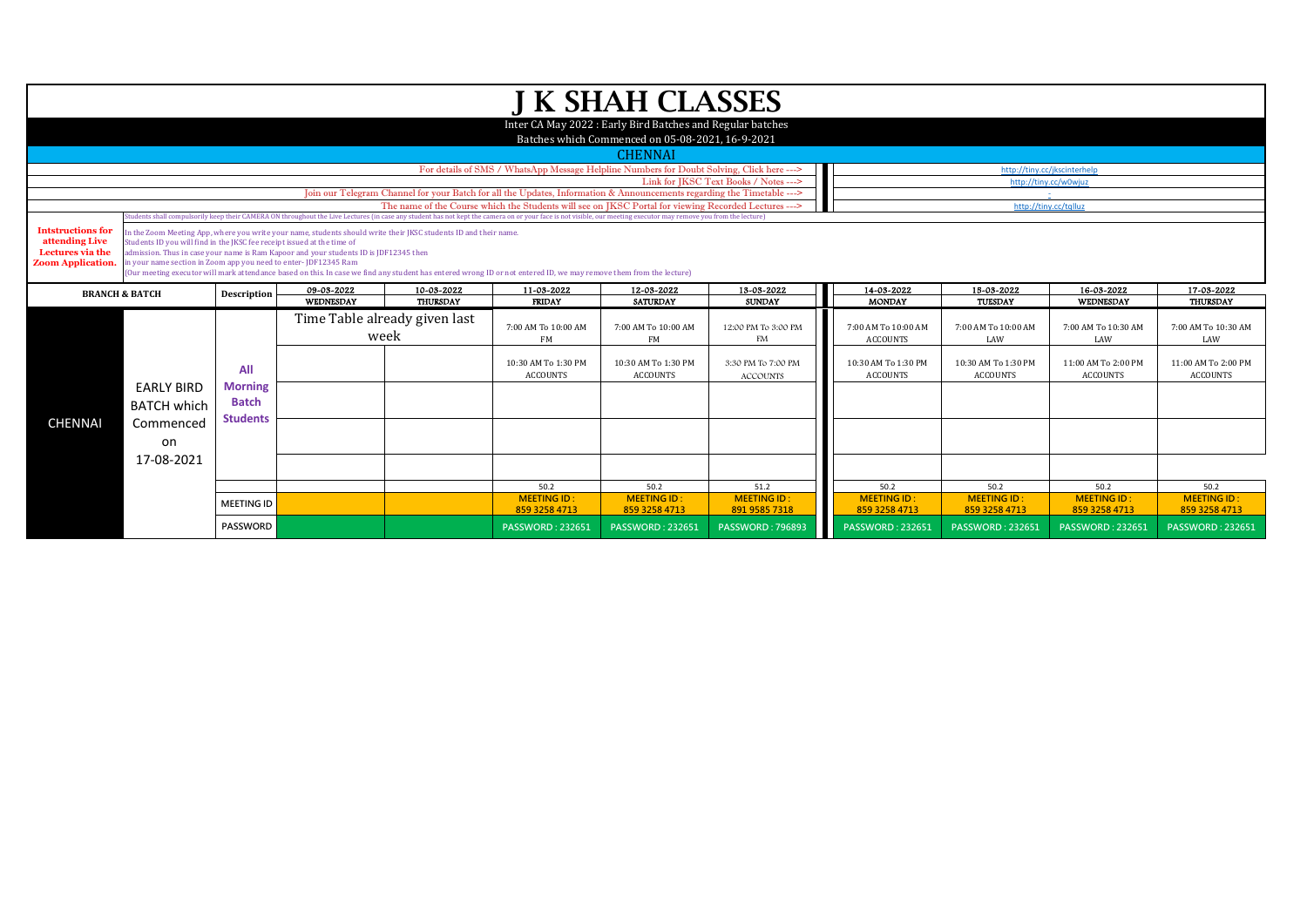|                                    |                                                                         |                   |                                                                                                                  |                               |                                                                                                                                                                                                                  | J K SHAH CLASSES                                           |                                       |                     |                       |                              |                     |
|------------------------------------|-------------------------------------------------------------------------|-------------------|------------------------------------------------------------------------------------------------------------------|-------------------------------|------------------------------------------------------------------------------------------------------------------------------------------------------------------------------------------------------------------|------------------------------------------------------------|---------------------------------------|---------------------|-----------------------|------------------------------|---------------------|
|                                    |                                                                         |                   |                                                                                                                  |                               |                                                                                                                                                                                                                  | Inter CA May 2022 : Early Bird Batches and Regular batches |                                       |                     |                       |                              |                     |
|                                    |                                                                         |                   |                                                                                                                  |                               |                                                                                                                                                                                                                  | Batches which Commenced on 05-08-2021, 16-9-2021           |                                       |                     |                       |                              |                     |
|                                    |                                                                         |                   |                                                                                                                  |                               |                                                                                                                                                                                                                  |                                                            |                                       |                     |                       |                              |                     |
|                                    |                                                                         |                   |                                                                                                                  |                               |                                                                                                                                                                                                                  | <b>CHENNAI</b>                                             |                                       |                     |                       |                              |                     |
|                                    |                                                                         |                   |                                                                                                                  |                               | For details of SMS / WhatsApp Message Helpline Numbers for Doubt Solving, Click here --->                                                                                                                        |                                                            | Link for JKSC Text Books / Notes ---> |                     | http://tiny.cc/w0wiuz | http://tiny.cc/jkscinterhelp |                     |
|                                    |                                                                         |                   |                                                                                                                  |                               | Join our Telegram Channel for your Batch for all the Updates, Information & Announcements regarding the Timetable --->                                                                                           |                                                            |                                       |                     |                       |                              |                     |
|                                    |                                                                         |                   |                                                                                                                  |                               | The name of the Course which the Students will see on JKSC Portal for viewing Recorded Lectures --->                                                                                                             |                                                            |                                       |                     |                       | http://tiny.cc/tqlluz        |                     |
|                                    |                                                                         |                   |                                                                                                                  |                               | (tudents shall compulsorily keep their CAMERA ON throughout the Live Lectures (in case any student has not kept the camera on or your face is not visible, our meeting executor may remove you from the lecture) |                                                            |                                       |                     |                       |                              |                     |
| <b>Intstructions for</b>           |                                                                         |                   | In the Zoom Meeting App, where you write your name, students should write their JKSC students ID and their name. |                               |                                                                                                                                                                                                                  |                                                            |                                       |                     |                       |                              |                     |
| attending Live<br>Lectures via the | Students ID you will find in the JKSC fee receipt issued at the time of |                   | admission. Thus in case your name is Ram Kapoor and your students ID is JDF12345 then                            |                               |                                                                                                                                                                                                                  |                                                            |                                       |                     |                       |                              |                     |
| <b>Zoom Application.</b>           | in your name section in Zoom app you need to enter-JDF12345 Ram         |                   |                                                                                                                  |                               |                                                                                                                                                                                                                  |                                                            |                                       |                     |                       |                              |                     |
|                                    |                                                                         |                   |                                                                                                                  |                               | (Our meeting executor will mark attendance based on this. In case we find any student has entered wrong ID or not entered ID, we may remove them from the lecture)                                               |                                                            |                                       |                     |                       |                              |                     |
|                                    | <b>BRANCH &amp; BATCH</b>                                               | Description       | 09-03-2022                                                                                                       | 10-03-2022                    | 11-03-2022                                                                                                                                                                                                       | 12-03-2022                                                 | 13-03-2022                            | 14-03-2022          | 15-03-2022            | 16-03-2022                   | 17-03-2022          |
|                                    |                                                                         |                   | WEDNESDAY                                                                                                        | <b>THURSDAY</b>               | <b>FRIDAY</b>                                                                                                                                                                                                    | <b>SATURDAY</b>                                            | <b>SUNDAY</b>                         | <b>MONDAY</b>       | TUESDAY               | WEDNESDAY                    | <b>THURSDAY</b>     |
|                                    |                                                                         |                   |                                                                                                                  | Time Table already given last |                                                                                                                                                                                                                  |                                                            |                                       |                     |                       |                              |                     |
|                                    |                                                                         |                   | week                                                                                                             |                               | 7:00 AM To 10:00 AM                                                                                                                                                                                              | 7:00 AM To 10:00 AM                                        | 12:00 PM To 3:00 PM                   | 7:00 AM To 10:00 AM | 7:00 AM To 10:00 AM   | 7:00 AM To 10:30 AM          | 7:00 AM To 10:30 AM |
|                                    |                                                                         |                   |                                                                                                                  |                               | FM                                                                                                                                                                                                               | <b>FM</b>                                                  | FM                                    | <b>ACCOUNTS</b>     | LAW                   | LAW                          | LAW                 |
|                                    |                                                                         |                   |                                                                                                                  |                               | 10:30 AM To 1:30 PM                                                                                                                                                                                              | 10:30 AM To 1:30 PM                                        | 3:30 PM To 7:00 PM                    | 10:30 AM To 1:30 PM | 10:30 AM To 1:30 PM   | 11:00 AM To 2:00 PM          | 11:00 AM To 2:00 PM |
|                                    |                                                                         | All               |                                                                                                                  |                               | <b>ACCOUNTS</b>                                                                                                                                                                                                  | <b>ACCOUNTS</b>                                            | <b>ACCOUNTS</b>                       | <b>ACCOUNTS</b>     | <b>ACCOUNTS</b>       | <b>ACCOUNTS</b>              | <b>ACCOUNTS</b>     |
|                                    | <b>EARLY BIRD</b>                                                       | <b>Morning</b>    |                                                                                                                  |                               |                                                                                                                                                                                                                  |                                                            |                                       |                     |                       |                              |                     |
|                                    | <b>BATCH which</b>                                                      | <b>Batch</b>      |                                                                                                                  |                               |                                                                                                                                                                                                                  |                                                            |                                       |                     |                       |                              |                     |
|                                    |                                                                         | <b>Students</b>   |                                                                                                                  |                               |                                                                                                                                                                                                                  |                                                            |                                       |                     |                       |                              |                     |
| <b>CHENNAI</b>                     | Commenced                                                               |                   |                                                                                                                  |                               |                                                                                                                                                                                                                  |                                                            |                                       |                     |                       |                              |                     |
|                                    | on                                                                      |                   |                                                                                                                  |                               |                                                                                                                                                                                                                  |                                                            |                                       |                     |                       |                              |                     |
|                                    | 17-08-2021                                                              |                   |                                                                                                                  |                               |                                                                                                                                                                                                                  |                                                            |                                       |                     |                       |                              |                     |
|                                    |                                                                         |                   |                                                                                                                  |                               |                                                                                                                                                                                                                  |                                                            |                                       |                     |                       |                              |                     |
|                                    |                                                                         |                   |                                                                                                                  |                               |                                                                                                                                                                                                                  |                                                            |                                       |                     |                       |                              |                     |
|                                    |                                                                         |                   |                                                                                                                  |                               | 50.2                                                                                                                                                                                                             | 50.2                                                       | 51.2                                  | 50.2                | 50.2                  | 50.2                         | 50.2                |
|                                    |                                                                         | <b>MEETING ID</b> |                                                                                                                  |                               | <b>MEETING ID:</b>                                                                                                                                                                                               | <b>MEETING ID:</b>                                         | <b>MEETING ID:</b>                    | <b>MEETING ID:</b>  | <b>MEETING ID:</b>    | <b>MEETING ID:</b>           | <b>MEETING ID:</b>  |
|                                    |                                                                         |                   |                                                                                                                  |                               | 859 3258 4713                                                                                                                                                                                                    | 859 3258 4713                                              | 891 9585 7318                         | 859 3258 4713       | 859 3258 4713         | 859 3258 4713                | 859 3258 4713       |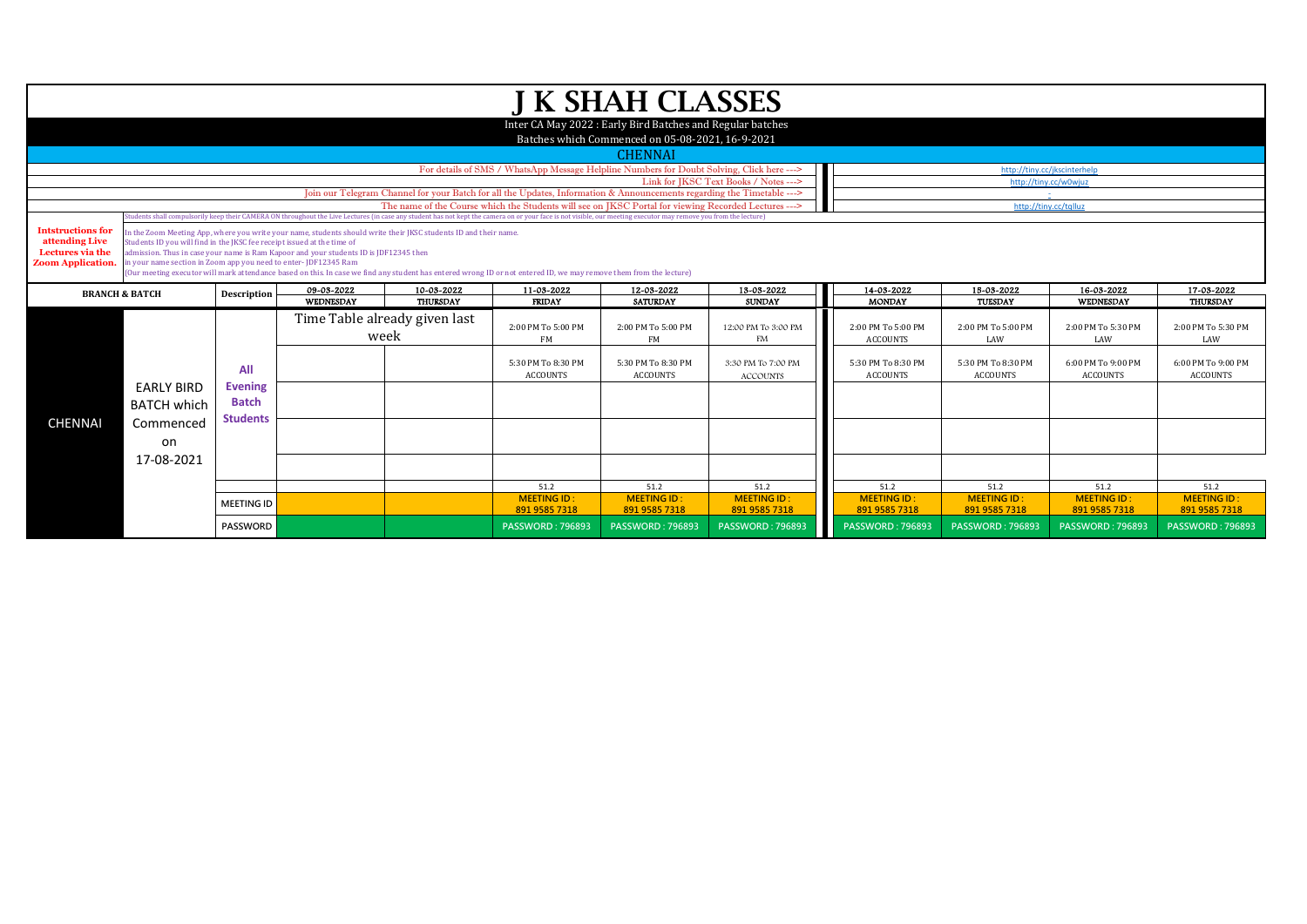|                                    |                                                                         |                   |                                                                                                                  |                               |                                                                                                                                                                                                                  | J K SHAH CLASSES                                           |                                          |                                          |                                                       |                                          |                                          |
|------------------------------------|-------------------------------------------------------------------------|-------------------|------------------------------------------------------------------------------------------------------------------|-------------------------------|------------------------------------------------------------------------------------------------------------------------------------------------------------------------------------------------------------------|------------------------------------------------------------|------------------------------------------|------------------------------------------|-------------------------------------------------------|------------------------------------------|------------------------------------------|
|                                    |                                                                         |                   |                                                                                                                  |                               |                                                                                                                                                                                                                  | Inter CA May 2022 : Early Bird Batches and Regular batches |                                          |                                          |                                                       |                                          |                                          |
|                                    |                                                                         |                   |                                                                                                                  |                               |                                                                                                                                                                                                                  | Batches which Commenced on 05-08-2021, 16-9-2021           |                                          |                                          |                                                       |                                          |                                          |
|                                    |                                                                         |                   |                                                                                                                  |                               |                                                                                                                                                                                                                  |                                                            |                                          |                                          |                                                       |                                          |                                          |
|                                    |                                                                         |                   |                                                                                                                  |                               |                                                                                                                                                                                                                  | <b>CHENNAI</b>                                             |                                          |                                          |                                                       |                                          |                                          |
|                                    |                                                                         |                   |                                                                                                                  |                               | For details of SMS / WhatsApp Message Helpline Numbers for Doubt Solving, Click here --->                                                                                                                        |                                                            | Link for IKSC Text Books / Notes --->    |                                          | http://tiny.cc/jkscinterhelp<br>http://tiny.cc/w0wiuz |                                          |                                          |
|                                    |                                                                         |                   |                                                                                                                  |                               | Join our Telegram Channel for your Batch for all the Updates, Information & Announcements regarding the Timetable --->                                                                                           |                                                            |                                          |                                          |                                                       |                                          |                                          |
|                                    |                                                                         |                   |                                                                                                                  |                               | The name of the Course which the Students will see on IKSC Portal for viewing Recorded Lectures --->                                                                                                             |                                                            |                                          |                                          | http://tiny.cc/tqlluz                                 |                                          |                                          |
|                                    |                                                                         |                   |                                                                                                                  |                               | Students shall compulsorily keep their CAMERA ON throughout the Live Lectures (in case any student has not kept the camera on or your face is not visible, our meeting executor may remove you from the lecture) |                                                            |                                          |                                          |                                                       |                                          |                                          |
| <b>Intstructions for</b>           |                                                                         |                   | In the Zoom Meeting App, where you write your name, students should write their JKSC students ID and their name. |                               |                                                                                                                                                                                                                  |                                                            |                                          |                                          |                                                       |                                          |                                          |
| attending Live<br>Lectures via the | Students ID you will find in the JKSC fee receipt issued at the time of |                   | admission. Thus in case your name is Ram Kapoor and your students ID is JDF12345 then                            |                               |                                                                                                                                                                                                                  |                                                            |                                          |                                          |                                                       |                                          |                                          |
| <b>Zoom Application.</b>           | in your name section in Zoom app you need to enter- JDF12345 Ram        |                   |                                                                                                                  |                               |                                                                                                                                                                                                                  |                                                            |                                          |                                          |                                                       |                                          |                                          |
|                                    |                                                                         |                   |                                                                                                                  |                               | (Our meeting executor will mark attendance based on this. In case we find any student has entered wrong ID or not entered ID, we may remove them from the lecture)                                               |                                                            |                                          |                                          |                                                       |                                          |                                          |
|                                    | <b>BRANCH &amp; BATCH</b>                                               | Description       | 09-03-2022                                                                                                       | 10-03-2022                    | 11-03-2022                                                                                                                                                                                                       | 12-03-2022                                                 | 13-03-2022                               | 14-03-2022                               | 15-03-2022                                            | 16-03-2022                               | 17-03-2022                               |
|                                    |                                                                         |                   | WEDNESDAY                                                                                                        | <b>THURSDAY</b>               | <b>FRIDAY</b>                                                                                                                                                                                                    | <b>SATURDAY</b>                                            | <b>SUNDAY</b>                            | <b>MONDAY</b>                            | TUESDAY                                               | WEDNESDAY                                | <b>THURSDAY</b>                          |
|                                    |                                                                         |                   |                                                                                                                  | Time Table already given last |                                                                                                                                                                                                                  |                                                            |                                          |                                          |                                                       |                                          |                                          |
|                                    |                                                                         |                   | week                                                                                                             |                               | 2:00 PM To 5:00 PM                                                                                                                                                                                               | 2:00 PM To 5:00 PM<br><b>FM</b>                            | 12:00 PM To 3:00 PM<br>FM                | 2:00 PM To 5:00 PM<br><b>ACCOUNTS</b>    | 2:00 PM To 5:00 PM<br>LAW                             | 2:00 PM To 5:30 PM<br>LAW                | 2:00 PM To 5:30 PM<br>LAW                |
|                                    |                                                                         |                   |                                                                                                                  |                               | FM                                                                                                                                                                                                               |                                                            |                                          |                                          |                                                       |                                          |                                          |
|                                    |                                                                         |                   |                                                                                                                  |                               | 5:30 PM To 8:30 PM                                                                                                                                                                                               | 5:30 PM To 8:30 PM                                         |                                          |                                          |                                                       |                                          |                                          |
|                                    |                                                                         | All               |                                                                                                                  |                               |                                                                                                                                                                                                                  |                                                            | 3:30 PM To 7:00 PM                       | 5:30 PM To 8:30 PM                       | 5:30 PM To 8:30 PM                                    | 6:00 PM To 9:00 PM                       | 6:00 PM To 9:00 PM                       |
|                                    |                                                                         |                   |                                                                                                                  |                               | <b>ACCOUNTS</b>                                                                                                                                                                                                  | <b>ACCOUNTS</b>                                            | <b>ACCOUNTS</b>                          | <b>ACCOUNTS</b>                          | <b>ACCOUNTS</b>                                       | <b>ACCOUNTS</b>                          | <b>ACCOUNTS</b>                          |
|                                    | <b>EARLY BIRD</b>                                                       | <b>Evening</b>    |                                                                                                                  |                               |                                                                                                                                                                                                                  |                                                            |                                          |                                          |                                                       |                                          |                                          |
|                                    |                                                                         | <b>Batch</b>      |                                                                                                                  |                               |                                                                                                                                                                                                                  |                                                            |                                          |                                          |                                                       |                                          |                                          |
|                                    | <b>BATCH which</b>                                                      | <b>Students</b>   |                                                                                                                  |                               |                                                                                                                                                                                                                  |                                                            |                                          |                                          |                                                       |                                          |                                          |
| <b>CHENNAI</b>                     | Commenced                                                               |                   |                                                                                                                  |                               |                                                                                                                                                                                                                  |                                                            |                                          |                                          |                                                       |                                          |                                          |
|                                    | on                                                                      |                   |                                                                                                                  |                               |                                                                                                                                                                                                                  |                                                            |                                          |                                          |                                                       |                                          |                                          |
|                                    | 17-08-2021                                                              |                   |                                                                                                                  |                               |                                                                                                                                                                                                                  |                                                            |                                          |                                          |                                                       |                                          |                                          |
|                                    |                                                                         |                   |                                                                                                                  |                               |                                                                                                                                                                                                                  |                                                            |                                          |                                          |                                                       |                                          |                                          |
|                                    |                                                                         |                   |                                                                                                                  |                               | 51.2                                                                                                                                                                                                             | 51.2                                                       | 51.2                                     | 51.2                                     | 51.2                                                  | 51.2                                     | 51.2                                     |
|                                    |                                                                         | <b>MEETING ID</b> |                                                                                                                  |                               | <b>MEETING ID:</b>                                                                                                                                                                                               | <b>MEETING ID:</b>                                         | <b>MEETING ID:</b>                       | <b>MEETING ID:</b>                       | <b>MEETING ID:</b>                                    | <b>MEETING ID:</b>                       | <b>MEETING ID:</b>                       |
|                                    |                                                                         | <b>PASSWORD</b>   |                                                                                                                  |                               | 891 9585 7318<br><b>PASSWORD: 796893</b>                                                                                                                                                                         | 891 9585 7318<br><b>PASSWORD: 796893</b>                   | 891 9585 7318<br><b>PASSWORD: 796893</b> | 891 9585 7318<br><b>PASSWORD: 796893</b> | 891 9585 7318<br><b>PASSWORD: 796893</b>              | 891 9585 7318<br><b>PASSWORD: 796893</b> | 891 9585 7318<br><b>PASSWORD: 796893</b> |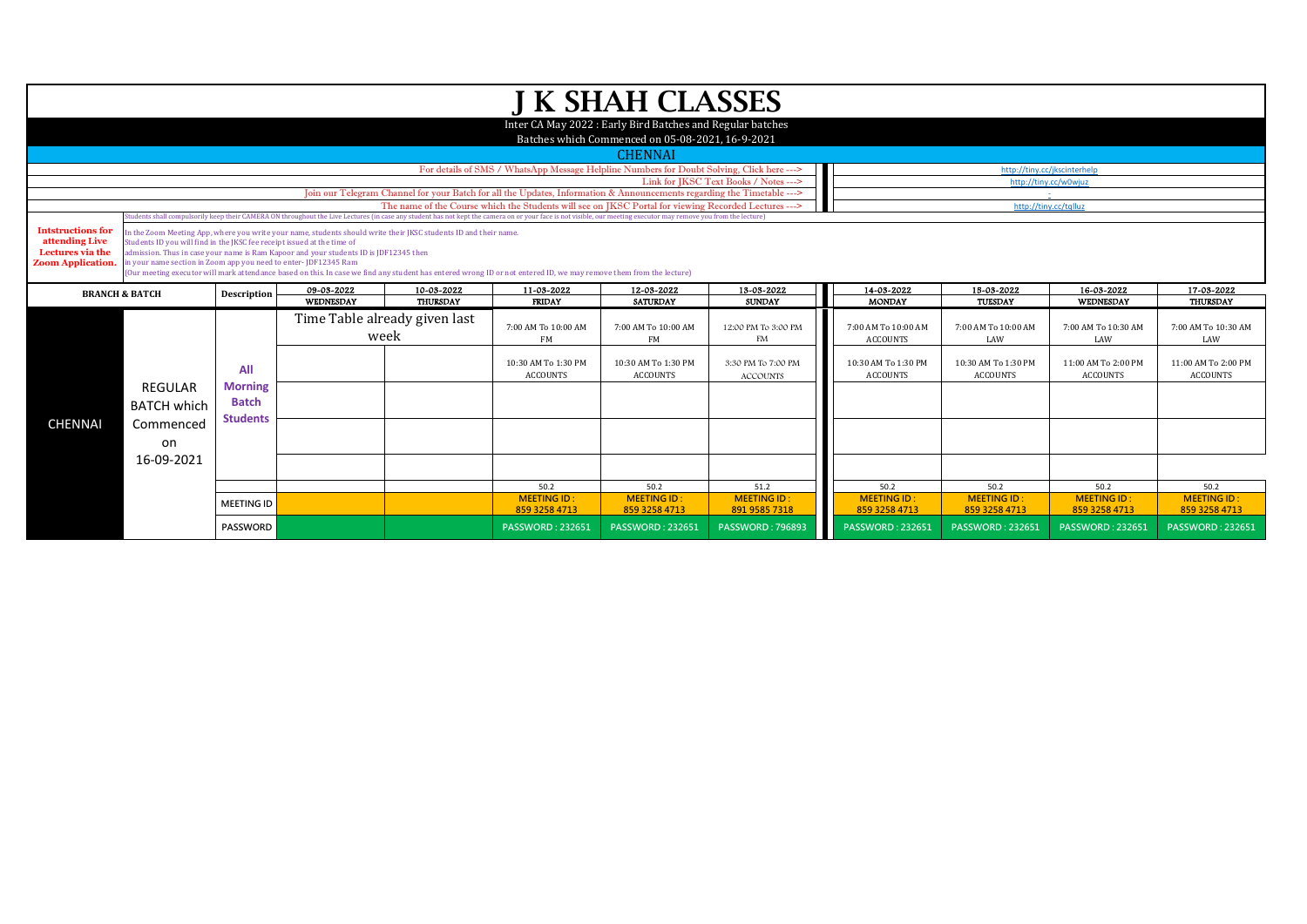|                           |                                                                         |                   |                                                                                                                  |                               |                                                                                                                                                                                                                                                                                                                          | J K SHAH CLASSES                                           |                                       |                            |                            |                              |                            |
|---------------------------|-------------------------------------------------------------------------|-------------------|------------------------------------------------------------------------------------------------------------------|-------------------------------|--------------------------------------------------------------------------------------------------------------------------------------------------------------------------------------------------------------------------------------------------------------------------------------------------------------------------|------------------------------------------------------------|---------------------------------------|----------------------------|----------------------------|------------------------------|----------------------------|
|                           |                                                                         |                   |                                                                                                                  |                               |                                                                                                                                                                                                                                                                                                                          | Inter CA May 2022 : Early Bird Batches and Regular batches |                                       |                            |                            |                              |                            |
|                           |                                                                         |                   |                                                                                                                  |                               |                                                                                                                                                                                                                                                                                                                          | Batches which Commenced on 05-08-2021, 16-9-2021           |                                       |                            |                            |                              |                            |
|                           |                                                                         |                   |                                                                                                                  |                               |                                                                                                                                                                                                                                                                                                                          | <b>CHENNAI</b>                                             |                                       |                            |                            |                              |                            |
|                           |                                                                         |                   |                                                                                                                  |                               | For details of SMS / WhatsApp Message Helpline Numbers for Doubt Solving, Click here --->                                                                                                                                                                                                                                |                                                            |                                       |                            |                            | http://tiny.cc/jkscinterhelp |                            |
|                           |                                                                         |                   |                                                                                                                  |                               |                                                                                                                                                                                                                                                                                                                          |                                                            | Link for JKSC Text Books / Notes ---> |                            |                            | http://tiny.cc/w0wjuz        |                            |
|                           |                                                                         |                   |                                                                                                                  |                               | Join our Telegram Channel for your Batch for all the Updates, Information & Announcements regarding the Timetable --->                                                                                                                                                                                                   |                                                            |                                       |                            |                            |                              |                            |
|                           |                                                                         |                   |                                                                                                                  |                               | The name of the Course which the Students will see on IKSC Portal for viewing Recorded Lectures ---><br>Students shall compulsorily keep their CAMERA ON throughout the Live Lectures (in case any student has not kept the camera on or your face is not visible, our meeting executor may remove you from the lecture) |                                                            |                                       |                            | http://tiny.cc/tqlluz      |                              |                            |
| <b>Intstructions for</b>  |                                                                         |                   | In the Zoom Meeting App, where you write your name, students should write their JKSC students ID and their name. |                               |                                                                                                                                                                                                                                                                                                                          |                                                            |                                       |                            |                            |                              |                            |
| attending Live            | Students ID you will find in the JKSC fee receipt issued at the time of |                   |                                                                                                                  |                               |                                                                                                                                                                                                                                                                                                                          |                                                            |                                       |                            |                            |                              |                            |
| Lectures via the          |                                                                         |                   | admission. Thus in case your name is Ram Kapoor and your students ID is JDF12345 then                            |                               |                                                                                                                                                                                                                                                                                                                          |                                                            |                                       |                            |                            |                              |                            |
| <b>Zoom Application.</b>  | in your name section in Zoom app you need to enter-JDF12345 Ram         |                   |                                                                                                                  |                               | (Our meeting executor will mark attendance based on this. In case we find any student has entered wrong ID or not entered ID, we may remove them from the lecture)                                                                                                                                                       |                                                            |                                       |                            |                            |                              |                            |
|                           |                                                                         |                   | 09-03-2022                                                                                                       | 10-03-2022                    | 11-03-2022                                                                                                                                                                                                                                                                                                               | 12-03-2022                                                 | 13-03-2022                            | 14-03-2022                 | 15-03-2022                 | 16-03-2022                   | 17-03-2022                 |
| <b>BRANCH &amp; BATCH</b> |                                                                         | Description       | <b>WEDNESDAY</b>                                                                                                 | <b>THURSDAY</b>               | <b>FRIDAY</b>                                                                                                                                                                                                                                                                                                            | <b>SATURDAY</b>                                            | <b>SUNDAY</b>                         | <b>MONDAY</b>              | TUESDAY                    | WEDNESDAY                    | THURSDAY                   |
|                           |                                                                         |                   |                                                                                                                  | Time Table already given last |                                                                                                                                                                                                                                                                                                                          |                                                            |                                       |                            |                            |                              |                            |
|                           |                                                                         |                   | week                                                                                                             |                               | 7:00 AM To 10:00 AM                                                                                                                                                                                                                                                                                                      | 7:00 AM To 10:00 AM                                        | 12:00 PM To 3:00 PM                   | 7:00 AM To 10:00 AM        | 7:00 AM To 10:00 AM        | 7:00 AM To 10:30 AM          | 7:00 AM To 10:30 AM        |
|                           |                                                                         |                   |                                                                                                                  |                               | FM                                                                                                                                                                                                                                                                                                                       | FM                                                         | FM                                    | <b>ACCOUNTS</b>            | LAW                        | LAW                          | LAW                        |
|                           |                                                                         |                   |                                                                                                                  |                               | 10:30 AM To 1:30 PM                                                                                                                                                                                                                                                                                                      | 10:30 AM To 1:30 PM                                        | 3:30 PM To 7:00 PM                    | 10:30 AM To 1:30 PM        | 10:30 AM To 1:30 PM        | 11:00 AM To 2:00 PM          | 11:00 AM To 2:00 PM        |
|                           |                                                                         | All               |                                                                                                                  |                               | <b>ACCOUNTS</b>                                                                                                                                                                                                                                                                                                          | <b>ACCOUNTS</b>                                            | <b>ACCOUNTS</b>                       | <b>ACCOUNTS</b>            | <b>ACCOUNTS</b>            | <b>ACCOUNTS</b>              | <b>ACCOUNTS</b>            |
|                           | <b>REGULAR</b>                                                          | <b>Morning</b>    |                                                                                                                  |                               |                                                                                                                                                                                                                                                                                                                          |                                                            |                                       |                            |                            |                              |                            |
|                           | <b>BATCH which</b>                                                      | <b>Batch</b>      |                                                                                                                  |                               |                                                                                                                                                                                                                                                                                                                          |                                                            |                                       |                            |                            |                              |                            |
| <b>CHENNAI</b>            | Commenced                                                               | <b>Students</b>   |                                                                                                                  |                               |                                                                                                                                                                                                                                                                                                                          |                                                            |                                       |                            |                            |                              |                            |
|                           |                                                                         |                   |                                                                                                                  |                               |                                                                                                                                                                                                                                                                                                                          |                                                            |                                       |                            |                            |                              |                            |
|                           | on                                                                      |                   |                                                                                                                  |                               |                                                                                                                                                                                                                                                                                                                          |                                                            |                                       |                            |                            |                              |                            |
|                           | 16-09-2021                                                              |                   |                                                                                                                  |                               |                                                                                                                                                                                                                                                                                                                          |                                                            |                                       |                            |                            |                              |                            |
|                           |                                                                         |                   |                                                                                                                  |                               |                                                                                                                                                                                                                                                                                                                          |                                                            |                                       |                            |                            |                              |                            |
|                           |                                                                         |                   |                                                                                                                  |                               | 50.2<br><b>MEETING ID:</b>                                                                                                                                                                                                                                                                                               | 50.2<br><b>MEETING ID:</b>                                 | 51.2<br><b>MEETING ID:</b>            | 50.2<br><b>MEETING ID:</b> | 50.2<br><b>MEETING ID:</b> | 50.2<br><b>MEETING ID:</b>   | 50.2<br><b>MEETING ID:</b> |
|                           |                                                                         | <b>MEETING ID</b> |                                                                                                                  |                               | 859 3258 4713                                                                                                                                                                                                                                                                                                            | 859 3258 4713                                              | 891 9585 7318                         | 859 3258 4713              | 859 3258 4713              | 859 3258 4713                | 859 3258 4713              |
|                           |                                                                         | PASSWORD          |                                                                                                                  |                               | <b>PASSWORD: 232651</b>                                                                                                                                                                                                                                                                                                  | <b>PASSWORD: 232651</b>                                    | <b>PASSWORD: 796893</b>               | <b>PASSWORD: 232651</b>    | <b>PASSWORD: 232651</b>    | <b>PASSWORD: 232651</b>      | <b>PASSWORD: 232651</b>    |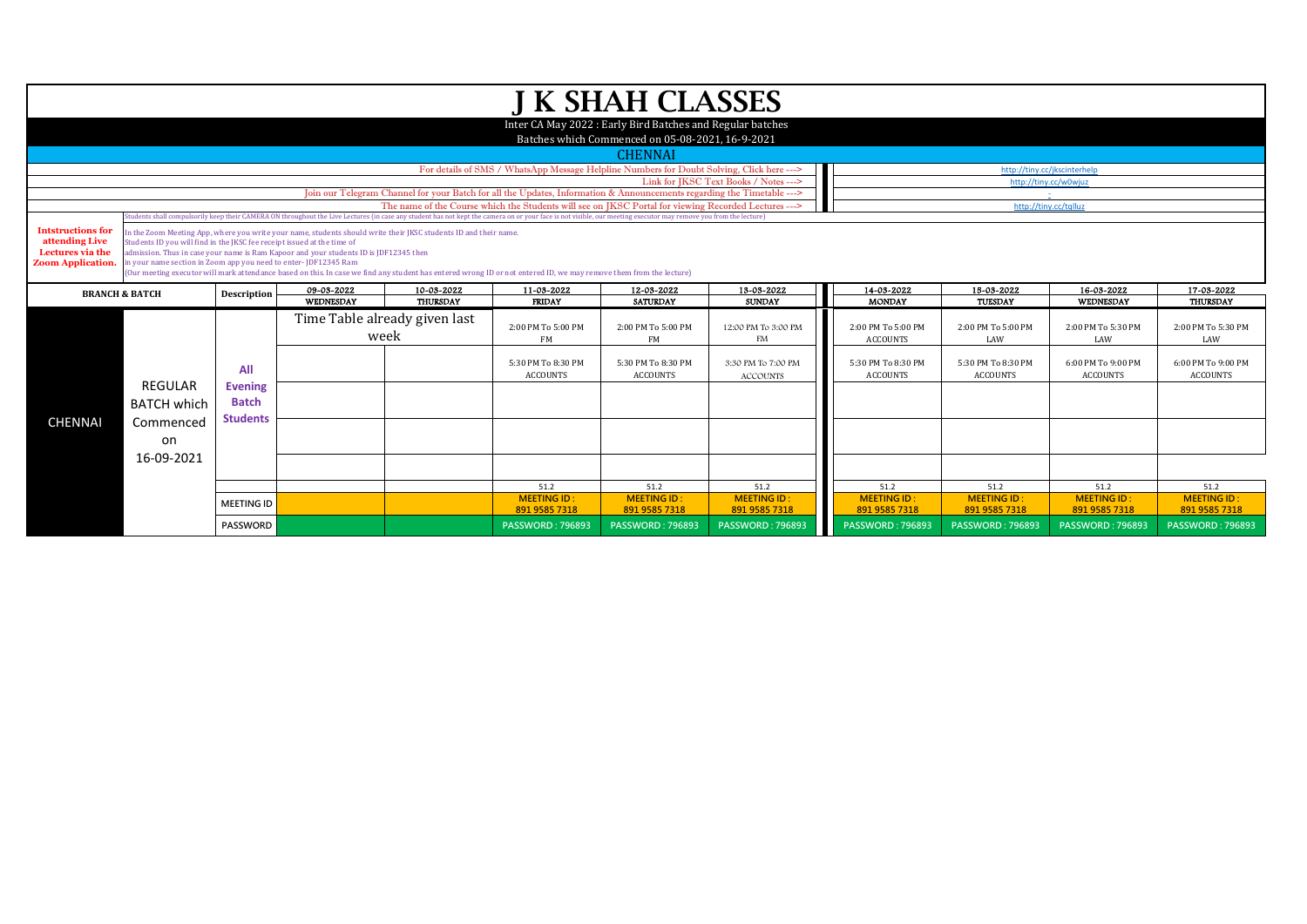| <b>J K SHAH CLASSES</b><br>Inter CA May 2022 : Early Bird Batches and Regular batches<br>Batches which Commenced on 05-08-2021, 16-9-2021<br><b>CHENNAI</b><br>For details of SMS / WhatsApp Message Helpline Numbers for Doubt Solving, Click here ---><br>Link for JKSC Text Books / Notes ---><br>http://tiny.cc/w0wiuz<br>Join our Telegram Channel for your Batch for all the Updates, Information & Announcements regarding the Timetable ---><br>The name of the Course which the Students will see on JKSC Portal for viewing Recorded Lectures ---><br>http://tinv.cc/talluz<br>tudents shall compulsorily keep their CAMERA ON throughout the Live Lectures (in case any student has not kept the camera on or your face is not visible, our meeting executor may remove you from the lecture)<br><b>Intstructions for</b><br>in the Zoom Meeting App, where you write your name, students should write their JKSC students ID and their name.<br>Students ID you will find in the JKSC fee receipt issued at the time of<br>admission. Thus in case your name is Ram Kapoor and your students ID is JDF12345 then<br>in your name section in Zoom app you need to enter- JDF12345 Ram<br>(Our meeting executor will mark attendance based on this. In case we find any student has entered wrong ID or not entered ID, we may remove them from the lecture)<br>09-03-2022<br>10-03-2022<br>11-03-2022<br>14-03-2022<br>15-03-2022<br>12-03-2022<br>13-03-2022<br><b>BRANCH &amp; BATCH</b><br>Description<br>WEDNESDAY<br><b>THURSDAY</b><br><b>FRIDAY</b><br><b>SATURDAY</b><br><b>SUNDAY</b><br><b>MONDAY</b><br>TUESDAY<br>Time Table already given last<br>12:00 PM To 3:00 PM<br>2:00 PM To 5:00 PM<br>2:00 PM To 5:00 PM<br>2:00 PM To 5:00 PM<br>2:00 PM To 5:00 PM<br>week<br>FM<br>FM<br><b>FM</b><br><b>ACCOUNTS</b><br>LAW<br>5:30 PM To 8:30 PM<br>5:30 PM To 8:30 PM<br>5:30 PM To 8:30 PM<br>3:30 PM To 7:00 PM<br>5:30 PM To 8:30 PM<br>All<br><b>ACCOUNTS</b><br><b>ACCOUNTS</b><br><b>ACCOUNTS</b><br><b>ACCOUNTS</b><br><b>ACCOUNTS</b><br>REGULAR<br><b>Evening</b><br><b>Batch</b><br><b>BATCH which</b><br><b>Students</b><br><b>CHENNAI</b><br>Commenced<br>on<br>16-09-2021<br>51.2<br>51.2<br>51.2<br>51.2<br>51.2<br><b>MEETING ID:</b><br><b>MEETING ID:</b><br><b>MEETING ID:</b><br><b>MEETING ID:</b><br><b>MEETING ID:</b><br><b>MEETING ID</b><br>891 9585 7318<br>891 9585 7318<br>891 9585 7318<br>891 9585 7318<br>891 9585 7318<br><b>PASSWORD</b><br><b>PASSWORD: 796893</b><br><b>PASSWORD: 796893</b><br><b>PASSWORD: 796893</b><br><b>PASSWORD: 796893</b><br><b>PASSWORD: 796893</b> |                                                                |  |  |  |  |                    |
|-----------------------------------------------------------------------------------------------------------------------------------------------------------------------------------------------------------------------------------------------------------------------------------------------------------------------------------------------------------------------------------------------------------------------------------------------------------------------------------------------------------------------------------------------------------------------------------------------------------------------------------------------------------------------------------------------------------------------------------------------------------------------------------------------------------------------------------------------------------------------------------------------------------------------------------------------------------------------------------------------------------------------------------------------------------------------------------------------------------------------------------------------------------------------------------------------------------------------------------------------------------------------------------------------------------------------------------------------------------------------------------------------------------------------------------------------------------------------------------------------------------------------------------------------------------------------------------------------------------------------------------------------------------------------------------------------------------------------------------------------------------------------------------------------------------------------------------------------------------------------------------------------------------------------------------------------------------------------------------------------------------------------------------------------------------------------------------------------------------------------------------------------------------------------------------------------------------------------------------------------------------------------------------------------------------------------------------------------------------------------------------------------------------------------------------------------------------------------------------------------------------------------------------------------------------------------------------------------------------------------------------------|----------------------------------------------------------------|--|--|--|--|--------------------|
|                                                                                                                                                                                                                                                                                                                                                                                                                                                                                                                                                                                                                                                                                                                                                                                                                                                                                                                                                                                                                                                                                                                                                                                                                                                                                                                                                                                                                                                                                                                                                                                                                                                                                                                                                                                                                                                                                                                                                                                                                                                                                                                                                                                                                                                                                                                                                                                                                                                                                                                                                                                                                                         |                                                                |  |  |  |  |                    |
| http://tiny.cc/jkscinterhelp                                                                                                                                                                                                                                                                                                                                                                                                                                                                                                                                                                                                                                                                                                                                                                                                                                                                                                                                                                                                                                                                                                                                                                                                                                                                                                                                                                                                                                                                                                                                                                                                                                                                                                                                                                                                                                                                                                                                                                                                                                                                                                                                                                                                                                                                                                                                                                                                                                                                                                                                                                                                            |                                                                |  |  |  |  |                    |
| LAW<br>51.2                                                                                                                                                                                                                                                                                                                                                                                                                                                                                                                                                                                                                                                                                                                                                                                                                                                                                                                                                                                                                                                                                                                                                                                                                                                                                                                                                                                                                                                                                                                                                                                                                                                                                                                                                                                                                                                                                                                                                                                                                                                                                                                                                                                                                                                                                                                                                                                                                                                                                                                                                                                                                             |                                                                |  |  |  |  |                    |
| <b>ACCOUNTS</b>                                                                                                                                                                                                                                                                                                                                                                                                                                                                                                                                                                                                                                                                                                                                                                                                                                                                                                                                                                                                                                                                                                                                                                                                                                                                                                                                                                                                                                                                                                                                                                                                                                                                                                                                                                                                                                                                                                                                                                                                                                                                                                                                                                                                                                                                                                                                                                                                                                                                                                                                                                                                                         |                                                                |  |  |  |  |                    |
| 16-03-2022<br>WEDNESDAY                                                                                                                                                                                                                                                                                                                                                                                                                                                                                                                                                                                                                                                                                                                                                                                                                                                                                                                                                                                                                                                                                                                                                                                                                                                                                                                                                                                                                                                                                                                                                                                                                                                                                                                                                                                                                                                                                                                                                                                                                                                                                                                                                                                                                                                                                                                                                                                                                                                                                                                                                                                                                 |                                                                |  |  |  |  |                    |
|                                                                                                                                                                                                                                                                                                                                                                                                                                                                                                                                                                                                                                                                                                                                                                                                                                                                                                                                                                                                                                                                                                                                                                                                                                                                                                                                                                                                                                                                                                                                                                                                                                                                                                                                                                                                                                                                                                                                                                                                                                                                                                                                                                                                                                                                                                                                                                                                                                                                                                                                                                                                                                         |                                                                |  |  |  |  |                    |
| <b>MEETING ID:</b><br><b>PASSWORD: 796893</b>                                                                                                                                                                                                                                                                                                                                                                                                                                                                                                                                                                                                                                                                                                                                                                                                                                                                                                                                                                                                                                                                                                                                                                                                                                                                                                                                                                                                                                                                                                                                                                                                                                                                                                                                                                                                                                                                                                                                                                                                                                                                                                                                                                                                                                                                                                                                                                                                                                                                                                                                                                                           |                                                                |  |  |  |  |                    |
|                                                                                                                                                                                                                                                                                                                                                                                                                                                                                                                                                                                                                                                                                                                                                                                                                                                                                                                                                                                                                                                                                                                                                                                                                                                                                                                                                                                                                                                                                                                                                                                                                                                                                                                                                                                                                                                                                                                                                                                                                                                                                                                                                                                                                                                                                                                                                                                                                                                                                                                                                                                                                                         |                                                                |  |  |  |  |                    |
|                                                                                                                                                                                                                                                                                                                                                                                                                                                                                                                                                                                                                                                                                                                                                                                                                                                                                                                                                                                                                                                                                                                                                                                                                                                                                                                                                                                                                                                                                                                                                                                                                                                                                                                                                                                                                                                                                                                                                                                                                                                                                                                                                                                                                                                                                                                                                                                                                                                                                                                                                                                                                                         | attending Live<br>Lectures via the<br><b>Zoom Application.</b> |  |  |  |  |                    |
|                                                                                                                                                                                                                                                                                                                                                                                                                                                                                                                                                                                                                                                                                                                                                                                                                                                                                                                                                                                                                                                                                                                                                                                                                                                                                                                                                                                                                                                                                                                                                                                                                                                                                                                                                                                                                                                                                                                                                                                                                                                                                                                                                                                                                                                                                                                                                                                                                                                                                                                                                                                                                                         |                                                                |  |  |  |  |                    |
|                                                                                                                                                                                                                                                                                                                                                                                                                                                                                                                                                                                                                                                                                                                                                                                                                                                                                                                                                                                                                                                                                                                                                                                                                                                                                                                                                                                                                                                                                                                                                                                                                                                                                                                                                                                                                                                                                                                                                                                                                                                                                                                                                                                                                                                                                                                                                                                                                                                                                                                                                                                                                                         |                                                                |  |  |  |  |                    |
|                                                                                                                                                                                                                                                                                                                                                                                                                                                                                                                                                                                                                                                                                                                                                                                                                                                                                                                                                                                                                                                                                                                                                                                                                                                                                                                                                                                                                                                                                                                                                                                                                                                                                                                                                                                                                                                                                                                                                                                                                                                                                                                                                                                                                                                                                                                                                                                                                                                                                                                                                                                                                                         |                                                                |  |  |  |  |                    |
|                                                                                                                                                                                                                                                                                                                                                                                                                                                                                                                                                                                                                                                                                                                                                                                                                                                                                                                                                                                                                                                                                                                                                                                                                                                                                                                                                                                                                                                                                                                                                                                                                                                                                                                                                                                                                                                                                                                                                                                                                                                                                                                                                                                                                                                                                                                                                                                                                                                                                                                                                                                                                                         |                                                                |  |  |  |  | 2:00 PM To 5:30 PM |
|                                                                                                                                                                                                                                                                                                                                                                                                                                                                                                                                                                                                                                                                                                                                                                                                                                                                                                                                                                                                                                                                                                                                                                                                                                                                                                                                                                                                                                                                                                                                                                                                                                                                                                                                                                                                                                                                                                                                                                                                                                                                                                                                                                                                                                                                                                                                                                                                                                                                                                                                                                                                                                         |                                                                |  |  |  |  |                    |
|                                                                                                                                                                                                                                                                                                                                                                                                                                                                                                                                                                                                                                                                                                                                                                                                                                                                                                                                                                                                                                                                                                                                                                                                                                                                                                                                                                                                                                                                                                                                                                                                                                                                                                                                                                                                                                                                                                                                                                                                                                                                                                                                                                                                                                                                                                                                                                                                                                                                                                                                                                                                                                         |                                                                |  |  |  |  | 6:00 PM To 9:00 PM |
|                                                                                                                                                                                                                                                                                                                                                                                                                                                                                                                                                                                                                                                                                                                                                                                                                                                                                                                                                                                                                                                                                                                                                                                                                                                                                                                                                                                                                                                                                                                                                                                                                                                                                                                                                                                                                                                                                                                                                                                                                                                                                                                                                                                                                                                                                                                                                                                                                                                                                                                                                                                                                                         |                                                                |  |  |  |  |                    |
|                                                                                                                                                                                                                                                                                                                                                                                                                                                                                                                                                                                                                                                                                                                                                                                                                                                                                                                                                                                                                                                                                                                                                                                                                                                                                                                                                                                                                                                                                                                                                                                                                                                                                                                                                                                                                                                                                                                                                                                                                                                                                                                                                                                                                                                                                                                                                                                                                                                                                                                                                                                                                                         |                                                                |  |  |  |  |                    |
|                                                                                                                                                                                                                                                                                                                                                                                                                                                                                                                                                                                                                                                                                                                                                                                                                                                                                                                                                                                                                                                                                                                                                                                                                                                                                                                                                                                                                                                                                                                                                                                                                                                                                                                                                                                                                                                                                                                                                                                                                                                                                                                                                                                                                                                                                                                                                                                                                                                                                                                                                                                                                                         |                                                                |  |  |  |  |                    |
|                                                                                                                                                                                                                                                                                                                                                                                                                                                                                                                                                                                                                                                                                                                                                                                                                                                                                                                                                                                                                                                                                                                                                                                                                                                                                                                                                                                                                                                                                                                                                                                                                                                                                                                                                                                                                                                                                                                                                                                                                                                                                                                                                                                                                                                                                                                                                                                                                                                                                                                                                                                                                                         |                                                                |  |  |  |  | 891 9585 7318      |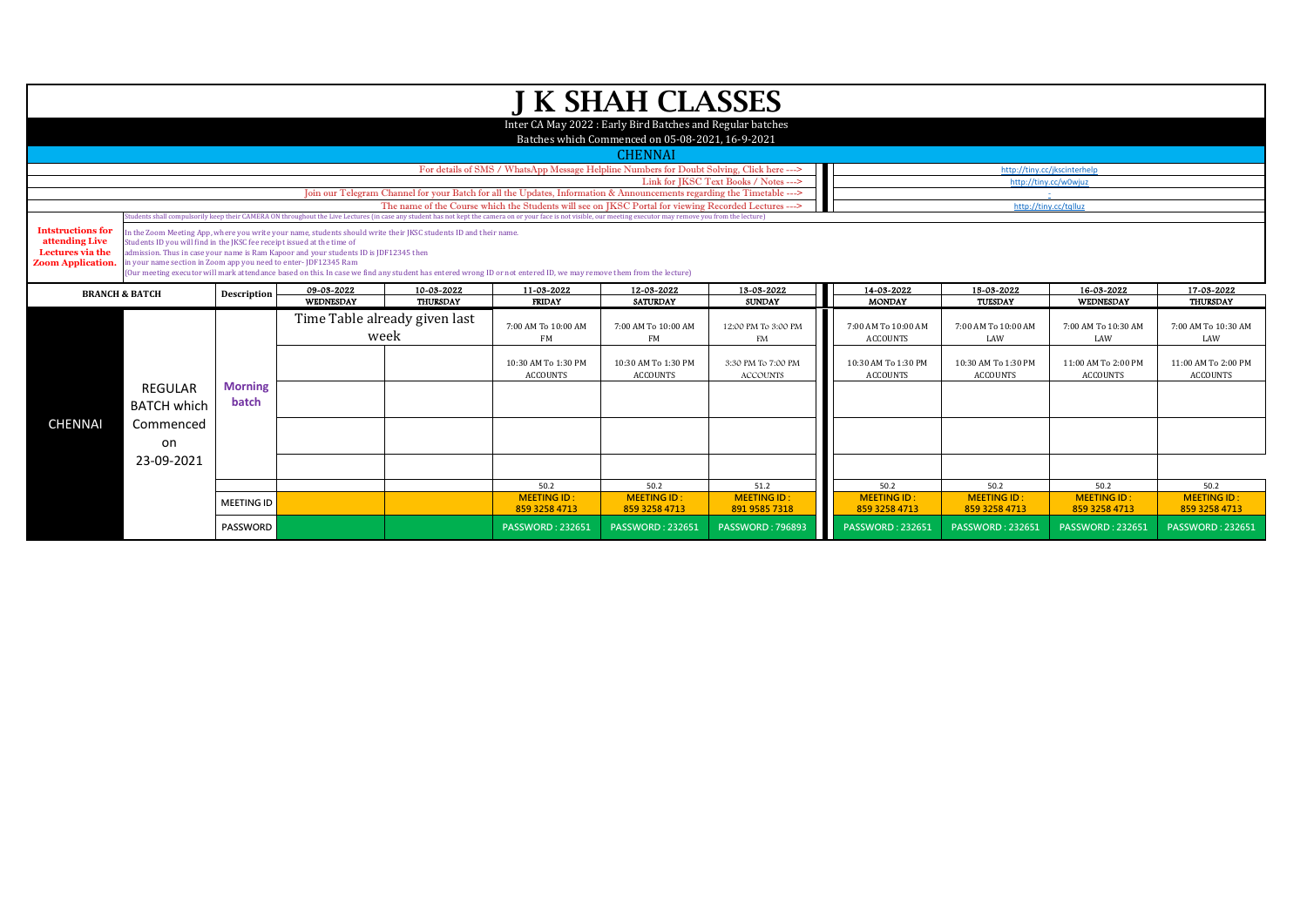|                                    |                                                                         |                   |                                                                                                                  |                               |                                                                                                                                                                                                                  | J K SHAH CLASSES                                           |                                       |                            |                                                       |                            |                            |
|------------------------------------|-------------------------------------------------------------------------|-------------------|------------------------------------------------------------------------------------------------------------------|-------------------------------|------------------------------------------------------------------------------------------------------------------------------------------------------------------------------------------------------------------|------------------------------------------------------------|---------------------------------------|----------------------------|-------------------------------------------------------|----------------------------|----------------------------|
|                                    |                                                                         |                   |                                                                                                                  |                               |                                                                                                                                                                                                                  | Inter CA May 2022 : Early Bird Batches and Regular batches |                                       |                            |                                                       |                            |                            |
|                                    |                                                                         |                   |                                                                                                                  |                               |                                                                                                                                                                                                                  | Batches which Commenced on 05-08-2021, 16-9-2021           |                                       |                            |                                                       |                            |                            |
|                                    |                                                                         |                   |                                                                                                                  |                               |                                                                                                                                                                                                                  |                                                            |                                       |                            |                                                       |                            |                            |
|                                    |                                                                         |                   |                                                                                                                  |                               |                                                                                                                                                                                                                  | <b>CHENNAI</b>                                             |                                       |                            |                                                       |                            |                            |
|                                    |                                                                         |                   |                                                                                                                  |                               | For details of SMS / WhatsApp Message Helpline Numbers for Doubt Solving, Click here --->                                                                                                                        |                                                            | Link for JKSC Text Books / Notes ---> |                            | http://tiny.cc/jkscinterhelp<br>http://tiny.cc/w0wjuz |                            |                            |
|                                    |                                                                         |                   |                                                                                                                  |                               | Join our Telegram Channel for your Batch for all the Updates, Information & Announcements regarding the Timetable --->                                                                                           |                                                            |                                       |                            |                                                       |                            |                            |
|                                    |                                                                         |                   |                                                                                                                  |                               | The name of the Course which the Students will see on IKSC Portal for viewing Recorded Lectures --->                                                                                                             |                                                            |                                       |                            | http://tiny.cc/tqlluz                                 |                            |                            |
|                                    |                                                                         |                   |                                                                                                                  |                               | (tudents shall compulsorily keep their CAMERA ON throughout the Live Lectures (in case any student has not kept the camera on or your face is not visible, our meeting executor may remove you from the lecture) |                                                            |                                       |                            |                                                       |                            |                            |
| <b>Intstructions for</b>           |                                                                         |                   | In the Zoom Meeting App, where you write your name, students should write their JKSC students ID and their name. |                               |                                                                                                                                                                                                                  |                                                            |                                       |                            |                                                       |                            |                            |
| attending Live<br>Lectures via the | Students ID you will find in the JKSC fee receipt issued at the time of |                   | admission. Thus in case your name is Ram Kapoor and your students ID is JDF12345 then                            |                               |                                                                                                                                                                                                                  |                                                            |                                       |                            |                                                       |                            |                            |
| <b>Zoom Application.</b>           | in your name section in Zoom app you need to enter-JDF12345 Ram         |                   |                                                                                                                  |                               |                                                                                                                                                                                                                  |                                                            |                                       |                            |                                                       |                            |                            |
|                                    |                                                                         |                   |                                                                                                                  |                               | (Our meeting executor will mark attendance based on this. In case we find any student has entered wrong ID or not entered ID, we may remove them from the lecture)                                               |                                                            |                                       |                            |                                                       |                            |                            |
|                                    | <b>BRANCH &amp; BATCH</b>                                               | Description       | 09-03-2022                                                                                                       | 10-03-2022                    | 11-03-2022                                                                                                                                                                                                       | 12-03-2022                                                 | 13-03-2022                            | 14-03-2022                 | 15-03-2022                                            | 16-03-2022                 | 17-03-2022                 |
|                                    |                                                                         |                   | WEDNESDAY                                                                                                        | THURSDAY                      | <b>FRIDAY</b>                                                                                                                                                                                                    | <b>SATURDAY</b>                                            | <b>SUNDAY</b>                         | <b>MONDAY</b>              | TUESDAY                                               | WEDNESDAY                  | <b>THURSDAY</b>            |
|                                    |                                                                         |                   |                                                                                                                  | Time Table already given last | 7:00 AM To 10:00 AM                                                                                                                                                                                              | 7:00 AM To 10:00 AM                                        | 12:00 PM To 3:00 PM                   | 7:00 AM To 10:00 AM        | 7:00 AM To 10:00 AM                                   | 7:00 AM To 10:30 AM        | 7:00 AM To 10:30 AM        |
|                                    |                                                                         |                   | week                                                                                                             |                               | FM                                                                                                                                                                                                               | FM                                                         | FM                                    | <b>ACCOUNTS</b>            | LAW                                                   | LAW                        | LAW                        |
|                                    |                                                                         |                   |                                                                                                                  |                               |                                                                                                                                                                                                                  |                                                            |                                       |                            |                                                       |                            |                            |
|                                    |                                                                         |                   |                                                                                                                  |                               | 10:30 AM To 1:30 PM                                                                                                                                                                                              | 10:30 AM To 1:30 PM                                        | 3:30 PM To 7:00 PM                    | 10:30 AM To 1:30 PM        | 10:30 AM To 1:30 PM                                   | 11:00 AM To 2:00 PM        | 11:00 AM To 2:00 PM        |
|                                    |                                                                         |                   |                                                                                                                  |                               | <b>ACCOUNTS</b>                                                                                                                                                                                                  | <b>ACCOUNTS</b>                                            | <b>ACCOUNTS</b>                       | <b>ACCOUNTS</b>            | <b>ACCOUNTS</b>                                       | <b>ACCOUNTS</b>            | <b>ACCOUNTS</b>            |
|                                    | REGULAR                                                                 | <b>Morning</b>    |                                                                                                                  |                               |                                                                                                                                                                                                                  |                                                            |                                       |                            |                                                       |                            |                            |
|                                    | <b>BATCH which</b>                                                      | batch             |                                                                                                                  |                               |                                                                                                                                                                                                                  |                                                            |                                       |                            |                                                       |                            |                            |
| <b>CHENNAI</b>                     | Commenced                                                               |                   |                                                                                                                  |                               |                                                                                                                                                                                                                  |                                                            |                                       |                            |                                                       |                            |                            |
|                                    |                                                                         |                   |                                                                                                                  |                               |                                                                                                                                                                                                                  |                                                            |                                       |                            |                                                       |                            |                            |
|                                    | on                                                                      |                   |                                                                                                                  |                               |                                                                                                                                                                                                                  |                                                            |                                       |                            |                                                       |                            |                            |
|                                    | 23-09-2021                                                              |                   |                                                                                                                  |                               |                                                                                                                                                                                                                  |                                                            |                                       |                            |                                                       |                            |                            |
|                                    |                                                                         |                   |                                                                                                                  |                               |                                                                                                                                                                                                                  |                                                            |                                       |                            |                                                       |                            |                            |
|                                    |                                                                         |                   |                                                                                                                  |                               | 50.2<br><b>MEETING ID:</b>                                                                                                                                                                                       | 50.2<br><b>MEETING ID:</b>                                 | 51.2<br><b>MEETING ID:</b>            | 50.2<br><b>MEETING ID:</b> | 50.2<br><b>MEETING ID:</b>                            | 50.2<br><b>MEETING ID:</b> | 50.2<br><b>MEETING ID:</b> |
|                                    |                                                                         | <b>MEETING ID</b> |                                                                                                                  |                               | 859 3258 4713                                                                                                                                                                                                    | 859 3258 4713                                              | 891 9585 7318                         | 859 3258 4713              | 859 3258 4713                                         | 859 3258 4713              | 859 3258 4713              |
|                                    |                                                                         | PASSWORD          |                                                                                                                  |                               | <b>PASSWORD: 232651</b>                                                                                                                                                                                          | <b>PASSWORD: 232651</b>                                    | <b>PASSWORD: 796893</b>               | <b>PASSWORD: 232651</b>    | <b>PASSWORD: 232651</b>                               | <b>PASSWORD: 232651</b>    | <b>PASSWORD: 232651</b>    |